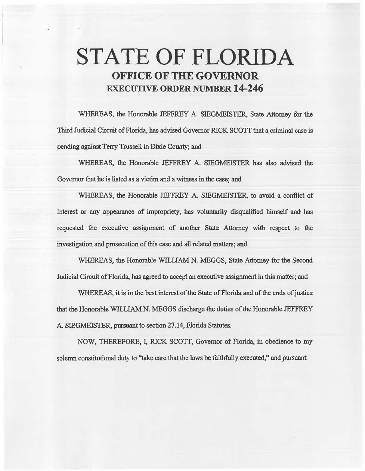# **STATE OF FLORIDA OFFICE OF THE GOVERNOR EXECUTIVE ORDER NUMBER 14-246**

WHEREAS, the Honorable JEFFREY A. SIEGMEISTER, State Attorney for the Third Judicial Circuit of Florida, has advised Governor RICK SCOTI that a criminal case is pending against Terry Trussell in Dixie County; and

WHEREAS, the Honorable JEFFREY A. SIEGMEISTER has also advised the Governor that he is listed as a victim and a witness in the case; and

WHEREAS, the Honorable JEFFREY A. SlEGMEISTER, to avoid a conflict of interest or any appearance of impropriety, has voluntarily disqualified himself and has requested the executive assignment of another State Attorney with respect to the investigation and prosecution of this case and all related matters; and

WHEREAS, the Honorable WILLIAM N. MEGGS, State Attorney for the Second Judicial Circuit of Florida, bas agreed to accept an. executive assignment in this matter; and

WHEREAS, it is in the best interest of the State of Florida and of the ends of justice that the Honorable WILLIAM N. MEGGS discharge the duties of the Honorable JEFFREY A. SIEGMEISTER, pursuant to section 27.14, Florida Statutes.

NOW, THEREFORE, I, RICK SCOTT, Governor of Florida, in obedience to my solemn constitutional duty to "take care that the laws be faithfully executed," and pursuant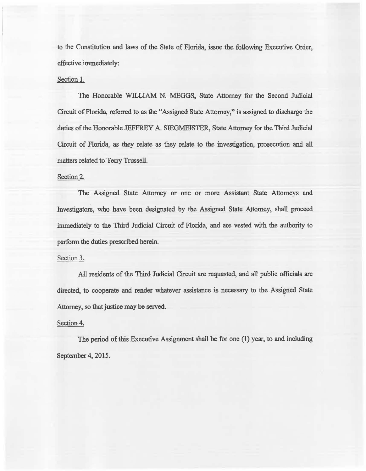to the Constitution. and laws of the State of Florida, issue the following Executive Order, effective immediately:

## Section 1.

The Honorable WILLIAM N. MEGGS, State Attorney for the Second Judicial Circuit of Florida, referred to as the "Assigned State Attorney," is assigned to discharge the duties of the Honorable JEFFREY A. SIEGMEISTER, State Attorney for the Third Judicial Circuit of Florida, as they relate as they relate to the investigation, prosecution and all matters related to Terry Trussell.

## Section 2.

The Assigned State Attorney or one or more Assistant State Attorneys and Investigators, who have been designated by the Assigned State Attorney, shall proceed immediately to the Third Judicial Circuit of Florida, and are vested with the authority to perform the duties prescribed herein.

### Section 3.

All residents of the Third Judicial Circuit are requested, and all public officials are directed, to cooperate and render whatever assistance is necessary to the Assigned State Attorney, so that justice may be served.

### Section 4.

The period of this Executive Assignment shall be for one (1) year, to and including September 4, 2015.